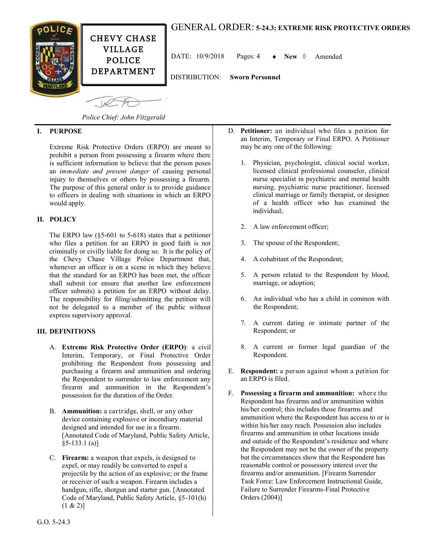

 $-10<sup>2</sup>$ 

# GENERAL ORDER: **5-24.3; EXTREME RISK PROTECTIVE ORDERS**

DATE:  $10/9/2018$  Pages: 4  $\rightarrow$  **New**  $\Diamond$  Amended

DEPARTMENT

DISTRIBUTION: **Sworn Personnel**

*Police Chief: John Fitzgerald*

## **I. PURPOSE**

Extreme Risk Protective Orders (ERPO) are meant to prohibit a person from possessing a firearm where there is sufficient information to believe that the person poses an *immediate and present danger* of causing personal injury to themselves or others by possessing a firearm. The purpose of this general order is to provide guidance to officers in dealing with situations in which an ERPO would apply.

### **II. POLICY**

The ERPO law (§5-601 to 5-618) states that a petitioner who files a petition for an ERPO in good faith is not criminally or civilly liable for doing so. It is the policy of the Chevy Chase Village Police Department that, whenever an officer is on a scene in which they believe that the standard for an ERPO has been met, the officer shall submit (or ensure that another law enforcement officer submits) a petition for an ERPO without delay. The responsibility for filing/submitting the petition will not be delegated to a member of the public without express supervisory approval.

## **III. DEFINITIONS**

- A. **Extreme Risk Protective Order (ERPO)**: a civil Interim, Temporary, or Final Protective Order prohibiting the Respondent from possessing and purchasing a firearm and ammunition and ordering the Respondent to surrender to law enforcement any firearm and ammunition in the Respondent's possession for the duration of the Order.
- B. **Ammunition:** a cartridge, shell, or any other device containing explosive or incendiary material designed and intended for use in a firearm. [Annotated Code of Maryland, Public Safety Article, §5-133.1 (a)]
- C. **Firearm:** a weapon that expels, is designed to expel, or may readily be converted to expel a projectile by the action of an explosive; or the frame or receiver of such a weapon. Firearm includes a handgun, rifle, shotgun and starter gun. [Annotated Code of Maryland, Public Safety Article, §5-101(h)  $(1 \& 2)$ ]
- D. **Petitioner:** an individual who files a petition for an Interim, Temporary or Final ERPO. A Petitioner may be any one of the following:
	- 1. Physician, psychologist, clinical social worker, licensed clinical professional counselor, clinical nurse specialist in psychiatric and mental health nursing, psychiatric nurse practitioner, licensed clinical marriage or family therapist, or designee of a health officer who has examined the individual;
	- 2. A law enforcement officer;
	- 3. The spouse of the Respondent;
	- 4. A cohabitant of the Respondent;
	- 5. A person related to the Respondent by blood, marriage, or adoption;
	- 6. An individual who has a child in common with the Respondent;
	- 7. A current dating or intimate partner of the Respondent; or
	- 8. A current or former legal guardian of the Respondent.
- E. **Respondent:** a person against whom a petition for an ERPO is filed.
- F. **Possessing a firearm and ammunition:** where the Respondent has firearms and/or ammunition within his/her control; this includes those firearms and ammunition where the Respondent has access to or is within his/her easy reach. Possession also includes firearms and ammunition in other locations inside and outside of the Respondent's residence and where the Respondent may not be the owner of the property but the circumstances show that the Respondent has reasonable control or possessory interest over the firearms and/or ammunition. [Firearm Surrender Task Force: Law Enforcement Instructional Guide, Failure to Surrender Firearms-Final Protective Orders (2004)]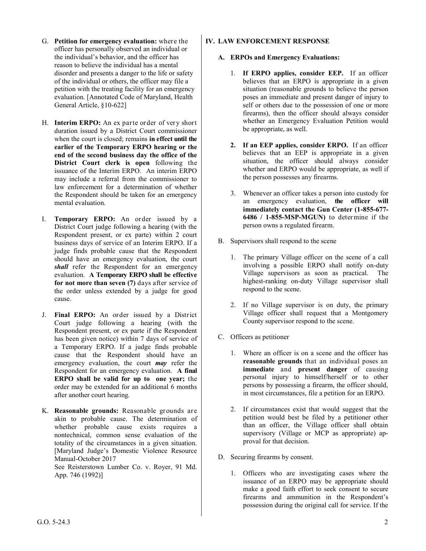- G. **Petition for emergency evaluation:** where the officer has personally observed an individual or the individual's behavior, and the officer has reason to believe the individual has a mental disorder and presents a danger to the life or safety of the individual or others, the officer may file a petition with the treating facility for an emergency evaluation. [Annotated Code of Maryland, Health General Article, §10-622]
- H. **Interim ERPO:** An ex parte order of very short duration issued by a District Court commissioner when the court is closed; remains **in effect until the earlier of the Temporary ERPO hearing or the end of the second business day the office of the District Court clerk is open** following the issuance of the Interim ERPO. An interim ERPO may include a referral from the commissioner to law enforcement for a determination of whether the Respondent should be taken for an emergency mental evaluation.
- I. **Temporary ERPO:** An order issued by a District Court judge following a hearing (with the Respondent present, or ex parte) within 2 court business days of service of an Interim ERPO. If a judge finds probable cause that the Respondent should have an emergency evaluation, the court *shall* refer the Respondent for an emergency evaluation. **A Temporary ERPO shall be effective**  for not more than seven (7) days after service of the order unless extended by a judge for good cause.
- J. **Final ERPO:** An order issued by a District Court judge following a hearing (with the Respondent present, or ex parte if the Respondent has been given notice) within 7 days of service of a Temporary ERPO. If a judge finds probable cause that the Respondent should have an emergency evaluation, the court *may* refer the Respondent for an emergency evaluation. **A final ERPO shall be valid for up to one year;** the order may be extended for an additional 6 months after another court hearing.
- K. **Reasonable grounds:** Reasonable grounds are akin to probable cause. The determination of whether probable cause exists requires a nontechnical, common sense evaluation of the totality of the circumstances in a given situation. [Maryland Judge's Domestic Violence Resource Manual-October 2017

See Reisterstown Lumber Co. v. Royer, 91 Md. App. 746 (1992)]

## **IV. LAW ENFORCEMENT RESPONSE**

### **A. ERPOs and Emergency Evaluations:**

- 1. **If ERPO applies, consider EEP.** If an officer believes that an ERPO is appropriate in a given situation (reasonable grounds to believe the person poses an immediate and present danger of injury to self or others due to the possession of one or more firearms), then the officer should always consider whether an Emergency Evaluation Petition would be appropriate, as well.
- **2. If an EEP applies, consider ERPO.** If an officer believes that an EEP is appropriate in a given situation, the officer should always consider whether and ERPO would be appropriate, as well if the person possesses any firearms.
- 3. Whenever an officer takes a person into custody for an emergency evaluation, **the officer will immediately contact the Gun Center (1-855-677- 6486 / 1-855-MSP-MGUN)** to deter mine if the person owns a regulated firearm.
- B. Supervisors shall respond to the scene
	- 1. The primary Village officer on the scene of a call involving a possible ERPO shall notify on-duty Village supervisors as soon as practical. The highest-ranking on-duty Village supervisor shall respond to the scene.
	- 2. If no Village supervisor is on duty, the primary Village officer shall request that a Montgomery County supervisor respond to the scene.
- C. Officers as petitioner
	- 1. Where an officer is on a scene and the officer has **reasonable grounds** that an individual poses an **immediate** and **present danger** of causing personal injury to himself/herself or to other persons by possessing a firearm, the officer should, in most circumstances, file a petition for an ERPO.
	- 2. If circumstances exist that would suggest that the petition would best be filed by a petitioner other than an officer, the Village officer shall obtain supervisory (Village or MCP as appropriate) approval for that decision.
- D. Securing firearms by consent.
	- 1. Officers who are investigating cases where the issuance of an ERPO may be appropriate should make a good faith effort to seek consent to secure firearms and ammunition in the Respondent's possession during the original call for service. If the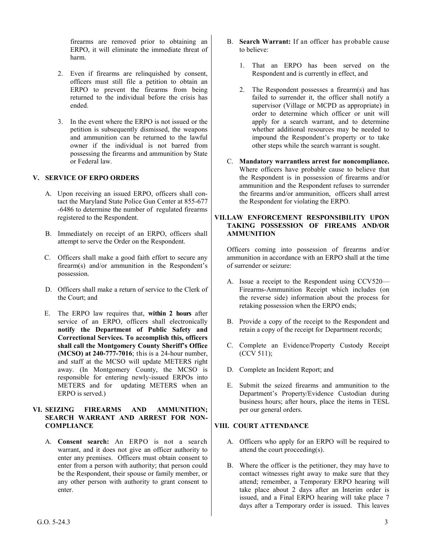firearms are removed prior to obtaining an ERPO, it will eliminate the immediate threat of harm.

- 2. Even if firearms are relinquished by consent, officers must still file a petition to obtain an ERPO to prevent the firearms from being returned to the individual before the crisis has ended.
- 3. In the event where the ERPO is not issued or the petition is subsequently dismissed, the weapons and ammunition can be returned to the lawful owner if the individual is not barred from possessing the firearms and ammunition by State or Federal law.

## **V. SERVICE OF ERPO ORDERS**

- A. Upon receiving an issued ERPO, officers shall contact the Maryland State Police Gun Center at 855-677 -6486 to determine the number of regulated firearms registered to the Respondent.
- B. Immediately on receipt of an ERPO, officers shall attempt to serve the Order on the Respondent.
- C. Officers shall make a good faith effort to secure any firearm(s) and/or ammunition in the Respondent's possession.
- D. Officers shall make a return of service to the Clerk of the Court; and
- E. The ERPO law requires that, **within 2 hours** after service of an ERPO, officers shall electronically **notify the Department of Public Safety and Correctional Services. To accomplish this, officers shall call the Montgomery County Sheriff's Office (MCSO) at 240-777-7016**; this is a 24-hour number, and staff at the MCSO will update METERS right away. (In Montgomery County, the MCSO is responsible for entering newly-issued ERPOs into METERS and for updating METERS when an ERPO is served.)

#### **VI. SEIZING FIREARMS AND AMMUNITION; SEARCH WARRANT AND ARREST FOR NON-COMPLIANCE**

A. **Consent search:** An ERPO is not a search warrant, and it does not give an officer authority to enter any premises. Officers must obtain consent to enter from a person with authority; that person could be the Respondent, their spouse or family member, or any other person with authority to grant consent to enter.

- B. **Search Warrant:** If an officer has probable cause to believe:
	- 1. That an ERPO has been served on the Respondent and is currently in effect, and
	- 2. The Respondent possesses a firearm(s) and has failed to surrender it, the officer shall notify a supervisor (Village or MCPD as appropriate) in order to determine which officer or unit will apply for a search warrant, and to determine whether additional resources may be needed to impound the Respondent's property or to take other steps while the search warrant is sought.
- C. **Mandatory warrantless arrest for noncompliance.**  Where officers have probable cause to believe that the Respondent is in possession of firearms and/or ammunition and the Respondent refuses to surrender the firearms and/or ammunition, officers shall arrest the Respondent for violating the ERPO.

#### **VII.LAW ENFORCEMENT RESPONSIBILITY UPON TAKING POSSESSION OF FIREAMS AND/OR AMMUNITION**

Officers coming into possession of firearms and/or ammunition in accordance with an ERPO shall at the time of surrender or seizure:

- A. Issue a receipt to the Respondent using CCV520— Firearms-Ammunition Receipt which includes (on the reverse side) information about the process for retaking possession when the ERPO ends;
- B. Provide a copy of the receipt to the Respondent and retain a copy of the receipt for Department records;
- C. Complete an Evidence/Property Custody Receipt (CCV 511);
- D. Complete an Incident Report; and
- E. Submit the seized firearms and ammunition to the Department's Property/Evidence Custodian during business hours; after hours, place the items in TESL per our general orders.

### **VIII. COURT ATTENDANCE**

- A. Officers who apply for an ERPO will be required to attend the court proceeding(s).
- B. Where the officer is the petitioner, they may have to contact witnesses right away to make sure that they attend; remember, a Temporary ERPO hearing will take place about 2 days after an Interim order is issued, and a Final ERPO hearing will take place 7 days after a Temporary order is issued. This leaves